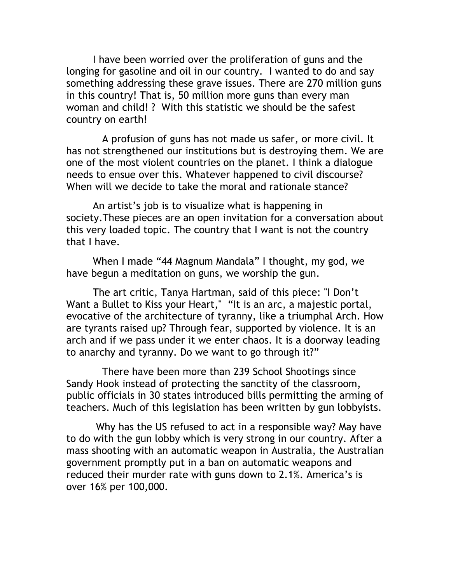I have been worried over the proliferation of guns and the longing for gasoline and oil in our country. I wanted to do and say something addressing these grave issues. There are 270 million guns in this country! That is, 50 million more guns than every man woman and child! ? With this statistic we should be the safest country on earth!

 A profusion of guns has not made us safer, or more civil. It has not strengthened our institutions but is destroying them. We are one of the most violent countries on the planet. I think a dialogue needs to ensue over this. Whatever happened to civil discourse? When will we decide to take the moral and rationale stance?

An artist's job is to visualize what is happening in society.These pieces are an open invitation for a conversation about this very loaded topic. The country that I want is not the country that I have.

When I made "44 Magnum Mandala" I thought, my god, we have begun a meditation on guns, we worship the gun.

The art critic, Tanya Hartman, said of this piece: "I Don't Want a Bullet to Kiss your Heart," "It is an arc, a majestic portal, evocative of the architecture of tyranny, like a triumphal Arch. How are tyrants raised up? Through fear, supported by violence. It is an arch and if we pass under it we enter chaos. It is a doorway leading to anarchy and tyranny. Do we want to go through it?"

 There have been more than 239 School Shootings since Sandy Hook instead of protecting the sanctity of the classroom, public officials in 30 states introduced bills permitting the arming of teachers. Much of this legislation has been written by gun lobbyists.

Why has the US refused to act in a responsible way? May have to do with the gun lobby which is very strong in our country. After a mass shooting with an automatic weapon in Australia, the Australian government promptly put in a ban on automatic weapons and reduced their murder rate with guns down to 2.1%. America's is over 16% per 100,000.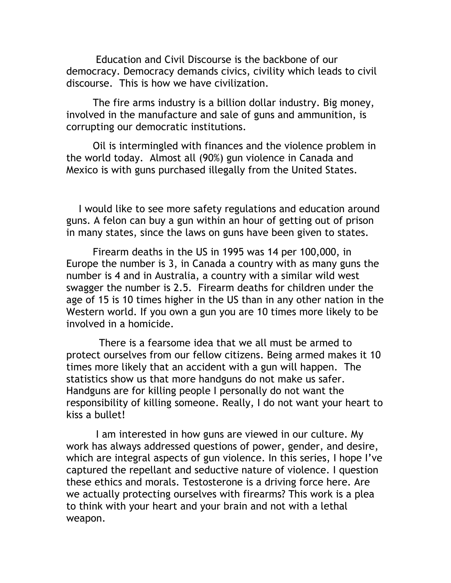Education and Civil Discourse is the backbone of our democracy. Democracy demands civics, civility which leads to civil discourse. This is how we have civilization.

The fire arms industry is a billion dollar industry. Big money, involved in the manufacture and sale of guns and ammunition, is corrupting our democratic institutions.

 Oil is intermingled with finances and the violence problem in the world today. Almost all (90%) gun violence in Canada and Mexico is with guns purchased illegally from the United States.

 I would like to see more safety regulations and education around guns. A felon can buy a gun within an hour of getting out of prison in many states, since the laws on guns have been given to states.

Firearm deaths in the US in 1995 was 14 per 100,000, in Europe the number is 3, in Canada a country with as many guns the number is 4 and in Australia, a country with a similar wild west swagger the number is 2.5. Firearm deaths for children under the age of 15 is 10 times higher in the US than in any other nation in the Western world. If you own a gun you are 10 times more likely to be involved in a homicide.

 There is a fearsome idea that we all must be armed to protect ourselves from our fellow citizens. Being armed makes it 10 times more likely that an accident with a gun will happen. The statistics show us that more handguns do not make us safer. Handguns are for killing people I personally do not want the responsibility of killing someone. Really, I do not want your heart to kiss a bullet!

I am interested in how guns are viewed in our culture. My work has always addressed questions of power, gender, and desire, which are integral aspects of gun violence. In this series, I hope I've captured the repellant and seductive nature of violence. I question these ethics and morals. Testosterone is a driving force here. Are we actually protecting ourselves with firearms? This work is a plea to think with your heart and your brain and not with a lethal weapon.